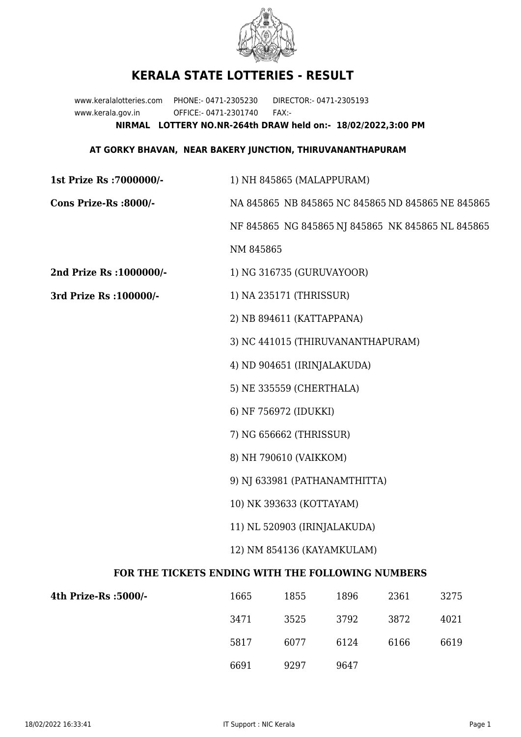

## **KERALA STATE LOTTERIES - RESULT**

www.keralalotteries.com PHONE:- 0471-2305230 DIRECTOR:- 0471-2305193 www.kerala.gov.in OFFICE:- 0471-2301740 FAX:- **NIRMAL LOTTERY NO.NR-264th DRAW held on:- 18/02/2022,3:00 PM**

## **AT GORKY BHAVAN, NEAR BAKERY JUNCTION, THIRUVANANTHAPURAM**

| 1st Prize Rs : 7000000/-                          | 1) NH 845865 (MALAPPURAM)                         |                           |      |      |                                                   |  |
|---------------------------------------------------|---------------------------------------------------|---------------------------|------|------|---------------------------------------------------|--|
| Cons Prize-Rs :8000/-                             | NA 845865 NB 845865 NC 845865 ND 845865 NE 845865 |                           |      |      |                                                   |  |
|                                                   |                                                   |                           |      |      | NF 845865 NG 845865 NJ 845865 NK 845865 NL 845865 |  |
|                                                   | NM 845865                                         |                           |      |      |                                                   |  |
| 2nd Prize Rs : 1000000/-                          |                                                   | 1) NG 316735 (GURUVAYOOR) |      |      |                                                   |  |
| 3rd Prize Rs : 100000/-                           | 1) NA 235171 (THRISSUR)                           |                           |      |      |                                                   |  |
|                                                   | 2) NB 894611 (KATTAPPANA)                         |                           |      |      |                                                   |  |
|                                                   | 3) NC 441015 (THIRUVANANTHAPURAM)                 |                           |      |      |                                                   |  |
|                                                   | 4) ND 904651 (IRINJALAKUDA)                       |                           |      |      |                                                   |  |
|                                                   | 5) NE 335559 (CHERTHALA)                          |                           |      |      |                                                   |  |
|                                                   |                                                   | 6) NF 756972 (IDUKKI)     |      |      |                                                   |  |
|                                                   | 7) NG 656662 (THRISSUR)                           |                           |      |      |                                                   |  |
|                                                   | 8) NH 790610 (VAIKKOM)                            |                           |      |      |                                                   |  |
|                                                   | 9) NJ 633981 (PATHANAMTHITTA)                     |                           |      |      |                                                   |  |
|                                                   | 10) NK 393633 (KOTTAYAM)                          |                           |      |      |                                                   |  |
|                                                   | 11) NL 520903 (IRINJALAKUDA)                      |                           |      |      |                                                   |  |
|                                                   | 12) NM 854136 (KAYAMKULAM)                        |                           |      |      |                                                   |  |
| FOR THE TICKETS ENDING WITH THE FOLLOWING NUMBERS |                                                   |                           |      |      |                                                   |  |
| 4th Prize-Rs :5000/-                              | 1665                                              | 1855                      | 1896 | 2361 | 3275                                              |  |

| -/1000- rize-Rs/ | 1665 | 1855 | 1896 | 2361 | 3275 |
|------------------|------|------|------|------|------|
|                  | 3471 | 3525 | 3792 | 3872 | 4021 |
|                  | 5817 | 6077 | 6124 | 6166 | 6619 |
|                  | 6691 | 9297 | 9647 |      |      |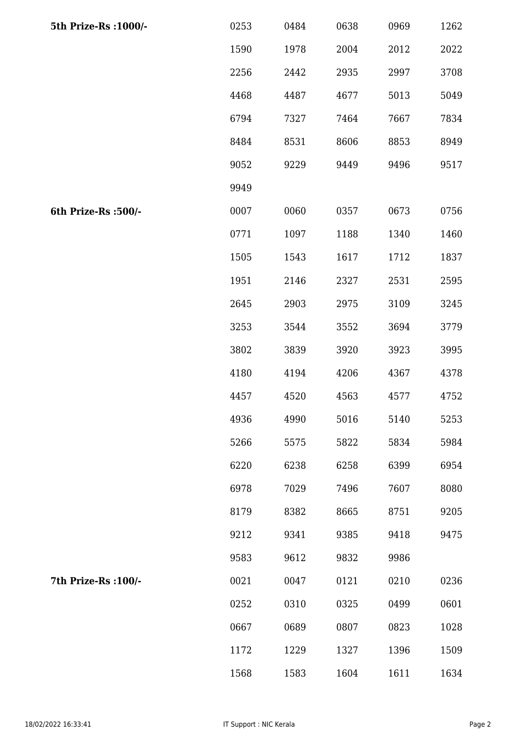| 5th Prize-Rs : 1000/- | 0253 | 0484 | 0638 | 0969 | 1262 |
|-----------------------|------|------|------|------|------|
|                       | 1590 | 1978 | 2004 | 2012 | 2022 |
|                       | 2256 | 2442 | 2935 | 2997 | 3708 |
|                       | 4468 | 4487 | 4677 | 5013 | 5049 |
|                       | 6794 | 7327 | 7464 | 7667 | 7834 |
|                       | 8484 | 8531 | 8606 | 8853 | 8949 |
|                       | 9052 | 9229 | 9449 | 9496 | 9517 |
|                       | 9949 |      |      |      |      |
| 6th Prize-Rs :500/-   | 0007 | 0060 | 0357 | 0673 | 0756 |
|                       | 0771 | 1097 | 1188 | 1340 | 1460 |
|                       | 1505 | 1543 | 1617 | 1712 | 1837 |
|                       | 1951 | 2146 | 2327 | 2531 | 2595 |
|                       | 2645 | 2903 | 2975 | 3109 | 3245 |
|                       | 3253 | 3544 | 3552 | 3694 | 3779 |
|                       | 3802 | 3839 | 3920 | 3923 | 3995 |
|                       | 4180 | 4194 | 4206 | 4367 | 4378 |
|                       | 4457 | 4520 | 4563 | 4577 | 4752 |
|                       | 4936 | 4990 | 5016 | 5140 | 5253 |
|                       | 5266 | 5575 | 5822 | 5834 | 5984 |
|                       | 6220 | 6238 | 6258 | 6399 | 6954 |
|                       | 6978 | 7029 | 7496 | 7607 | 8080 |
|                       | 8179 | 8382 | 8665 | 8751 | 9205 |
|                       | 9212 | 9341 | 9385 | 9418 | 9475 |
|                       | 9583 | 9612 | 9832 | 9986 |      |
| 7th Prize-Rs : 100/-  | 0021 | 0047 | 0121 | 0210 | 0236 |
|                       | 0252 | 0310 | 0325 | 0499 | 0601 |
|                       | 0667 | 0689 | 0807 | 0823 | 1028 |
|                       | 1172 | 1229 | 1327 | 1396 | 1509 |
|                       | 1568 | 1583 | 1604 | 1611 | 1634 |